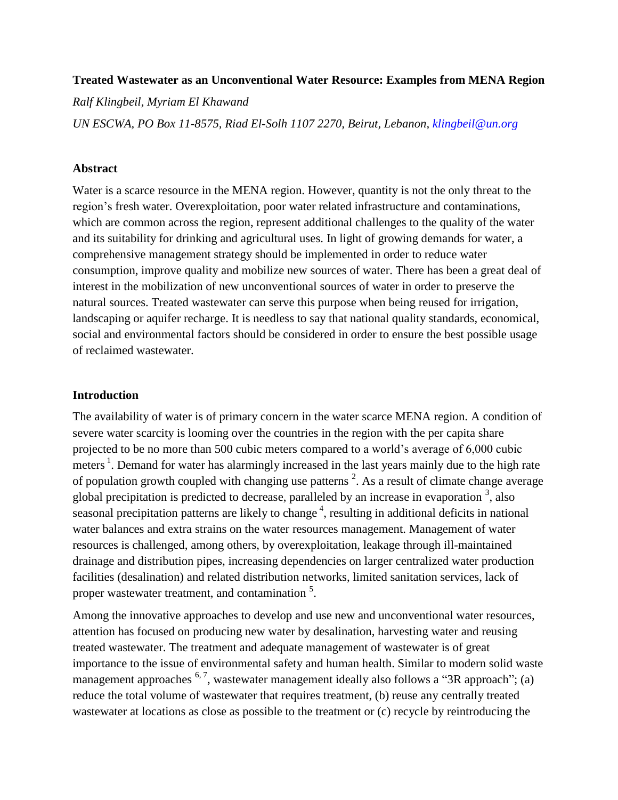### **Treated Wastewater as an Unconventional Water Resource: Examples from MENA Region**

*Ralf Klingbeil, Myriam El Khawand*

*UN ESCWA, PO Box 11-8575, Riad El-Solh 1107 2270, Beirut, Lebanon, [klingbeil@un.org](mailto:klingbeil@un.org)*

### **Abstract**

Water is a scarce resource in the MENA region. However, quantity is not the only threat to the region"s fresh water. Overexploitation, poor water related infrastructure and contaminations, which are common across the region, represent additional challenges to the quality of the water and its suitability for drinking and agricultural uses. In light of growing demands for water, a comprehensive management strategy should be implemented in order to reduce water consumption, improve quality and mobilize new sources of water. There has been a great deal of interest in the mobilization of new unconventional sources of water in order to preserve the natural sources. Treated wastewater can serve this purpose when being reused for irrigation, landscaping or aquifer recharge. It is needless to say that national quality standards, economical, social and environmental factors should be considered in order to ensure the best possible usage of reclaimed wastewater.

### **Introduction**

The availability of water is of primary concern in the water scarce MENA region. A condition of severe water scarcity is looming over the countries in the region with the per capita share projected to be no more than 500 cubic meters compared to a world"s average of 6,000 cubic meters<sup>1</sup>. Demand for water has alarmingly increased in the last years mainly due to the high rate of population growth coupled with changing use patterns  $2$ . As a result of climate change average global precipitation is predicted to decrease, paralleled by an increase in evaporation  $\frac{3}{2}$ , also seasonal precipitation patterns are likely to change<sup>4</sup>, resulting in additional deficits in national water balances and extra strains on the water resources management. Management of water resources is challenged, among others, by overexploitation, leakage through ill-maintained drainage and distribution pipes, increasing dependencies on larger centralized water production facilities (desalination) and related distribution networks, limited sanitation services, lack of proper wastewater treatment, and contamination <sup>5</sup>.

Among the innovative approaches to develop and use new and unconventional water resources, attention has focused on producing new water by desalination, harvesting water and reusing treated wastewater. The treatment and adequate management of wastewater is of great importance to the issue of environmental safety and human health. Similar to modern solid waste management approaches  $6.7$ , wastewater management ideally also follows a "3R approach"; (a) reduce the total volume of wastewater that requires treatment, (b) reuse any centrally treated wastewater at locations as close as possible to the treatment or (c) recycle by reintroducing the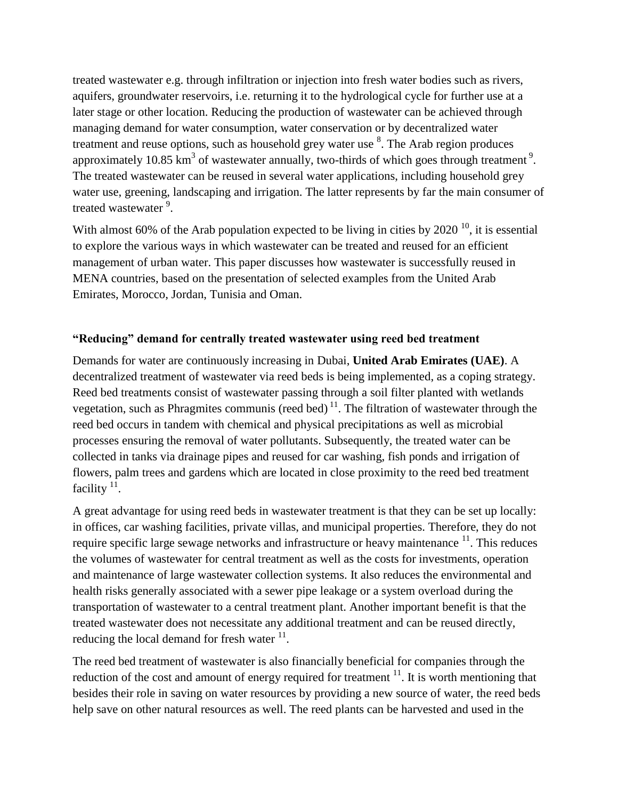treated wastewater e.g. through infiltration or injection into fresh water bodies such as rivers, aquifers, groundwater reservoirs, i.e. returning it to the hydrological cycle for further use at a later stage or other location. Reducing the production of wastewater can be achieved through managing demand for water consumption, water conservation or by decentralized water treatment and reuse options, such as household grey water use  $8$ . The Arab region produces approximately 10.85 km<sup>3</sup> of wastewater annually, two-thirds of which goes through treatment<sup>9</sup>. The treated wastewater can be reused in several water applications, including household grey water use, greening, landscaping and irrigation. The latter represents by far the main consumer of treated wastewater <sup>9</sup>.

With almost 60% of the Arab population expected to be living in cities by 2020  $^{10}$ , it is essential to explore the various ways in which wastewater can be treated and reused for an efficient management of urban water. This paper discusses how wastewater is successfully reused in MENA countries, based on the presentation of selected examples from the United Arab Emirates, Morocco, Jordan, Tunisia and Oman.

## **"Reducing" demand for centrally treated wastewater using reed bed treatment**

Demands for water are continuously increasing in Dubai, **United Arab Emirates (UAE)**. A decentralized treatment of wastewater via reed beds is being implemented, as a coping strategy. Reed bed treatments consist of wastewater passing through a soil filter planted with wetlands vegetation, such as Phragmites communis (reed bed)<sup>11</sup>. The filtration of wastewater through the reed bed occurs in tandem with chemical and physical precipitations as well as microbial processes ensuring the removal of water pollutants. Subsequently, the treated water can be collected in tanks via drainage pipes and reused for car washing, fish ponds and irrigation of flowers, palm trees and gardens which are located in close proximity to the reed bed treatment facility  $11$ .

A great advantage for using reed beds in wastewater treatment is that they can be set up locally: in offices, car washing facilities, private villas, and municipal properties. Therefore, they do not require specific large sewage networks and infrastructure or heavy maintenance <sup>11</sup>. This reduces the volumes of wastewater for central treatment as well as the costs for investments, operation and maintenance of large wastewater collection systems. It also reduces the environmental and health risks generally associated with a sewer pipe leakage or a system overload during the transportation of wastewater to a central treatment plant. Another important benefit is that the treated wastewater does not necessitate any additional treatment and can be reused directly, reducing the local demand for fresh water  $11$ .

The reed bed treatment of wastewater is also financially beneficial for companies through the reduction of the cost and amount of energy required for treatment  $11$ . It is worth mentioning that besides their role in saving on water resources by providing a new source of water, the reed beds help save on other natural resources as well. The reed plants can be harvested and used in the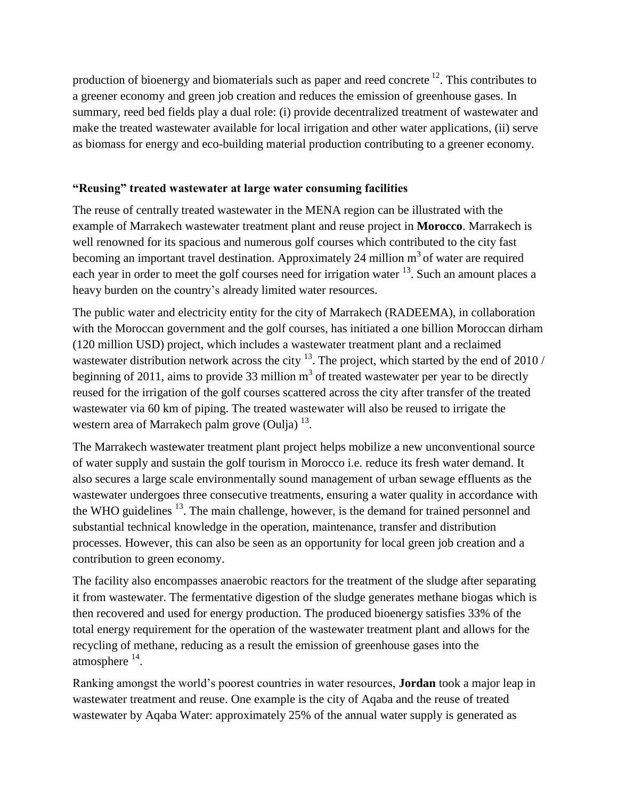production of bioenergy and biomaterials such as paper and reed concrete  $^{12}$ . This contributes to a greener economy and green job creation and reduces the emission of greenhouse gases. In summary, reed bed fields play a dual role: (i) provide decentralized treatment of wastewater and make the treated wastewater available for local irrigation and other water applications, (ii) serve as biomass for energy and eco-building material production contributing to a greener economy.

## **"Reusing" treated wastewater at large water consuming facilities**

The reuse of centrally treated wastewater in the MENA region can be illustrated with the example of Marrakech wastewater treatment plant and reuse project in **Morocco**. Marrakech is well renowned for its spacious and numerous golf courses which contributed to the city fast becoming an important travel destination. Approximately 24 million  $m<sup>3</sup>$  of water are required each year in order to meet the golf courses need for irrigation water <sup>13</sup>. Such an amount places a heavy burden on the country's already limited water resources.

The public water and electricity entity for the city of Marrakech (RADEEMA), in collaboration with the Moroccan government and the golf courses, has initiated a one billion Moroccan dirham (120 million USD) project, which includes a wastewater treatment plant and a reclaimed wastewater distribution network across the city  $^{13}$ . The project, which started by the end of 2010 / beginning of 2011, aims to provide 33 million  $m<sup>3</sup>$  of treated wastewater per year to be directly reused for the irrigation of the golf courses scattered across the city after transfer of the treated wastewater via 60 km of piping. The treated wastewater will also be reused to irrigate the western area of Marrakech palm grove (Oulja)  $^{13}$ .

The Marrakech wastewater treatment plant project helps mobilize a new unconventional source of water supply and sustain the golf tourism in Morocco i.e. reduce its fresh water demand. It also secures a large scale environmentally sound management of urban sewage effluents as the wastewater undergoes three consecutive treatments, ensuring a water quality in accordance with the WHO guidelines <sup>13</sup>. The main challenge, however, is the demand for trained personnel and substantial technical knowledge in the operation, maintenance, transfer and distribution processes. However, this can also be seen as an opportunity for local green job creation and a contribution to green economy.

The facility also encompasses anaerobic reactors for the treatment of the sludge after separating it from wastewater. The fermentative digestion of the sludge generates methane biogas which is then recovered and used for energy production. The produced bioenergy satisfies 33% of the total energy requirement for the operation of the wastewater treatment plant and allows for the recycling of methane, reducing as a result the emission of greenhouse gases into the atmosphere  $^{14}$ .

Ranking amongst the world"s poorest countries in water resources, **Jordan** took a major leap in wastewater treatment and reuse. One example is the city of Aqaba and the reuse of treated wastewater by Aqaba Water: approximately 25% of the annual water supply is generated as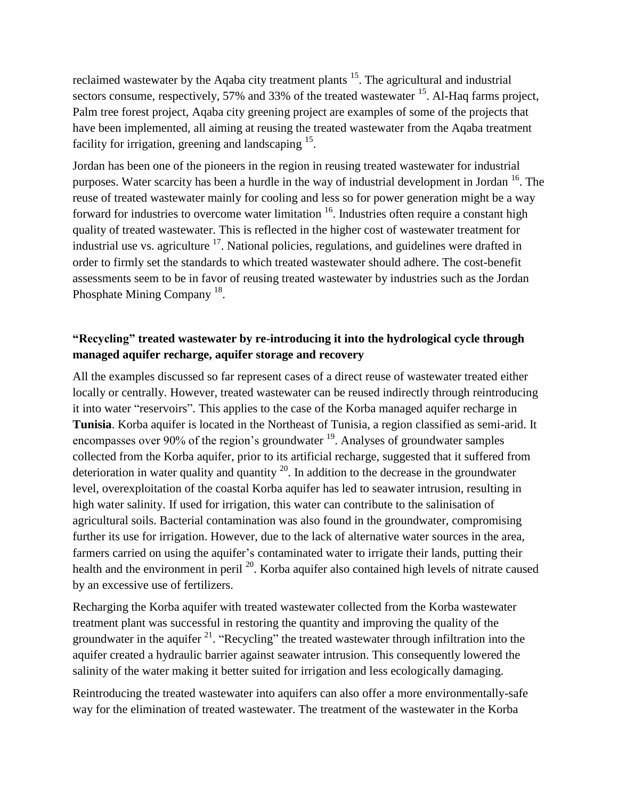reclaimed wastewater by the Aqaba city treatment plants <sup>15</sup>. The agricultural and industrial sectors consume, respectively, 57% and 33% of the treated wastewater  $^{15}$ . Al-Haq farms project, Palm tree forest project, Aqaba city greening project are examples of some of the projects that have been implemented, all aiming at reusing the treated wastewater from the Aqaba treatment facility for irrigation, greening and landscaping <sup>15</sup>.

Jordan has been one of the pioneers in the region in reusing treated wastewater for industrial purposes. Water scarcity has been a hurdle in the way of industrial development in Jordan <sup>16</sup>. The reuse of treated wastewater mainly for cooling and less so for power generation might be a way forward for industries to overcome water limitation  $16$ . Industries often require a constant high quality of treated wastewater. This is reflected in the higher cost of wastewater treatment for industrial use vs. agriculture <sup>17</sup>. National policies, regulations, and guidelines were drafted in order to firmly set the standards to which treated wastewater should adhere. The cost-benefit assessments seem to be in favor of reusing treated wastewater by industries such as the Jordan Phosphate Mining Company<sup>18</sup>.

# **"Recycling" treated wastewater by re-introducing it into the hydrological cycle through managed aquifer recharge, aquifer storage and recovery**

All the examples discussed so far represent cases of a direct reuse of wastewater treated either locally or centrally. However, treated wastewater can be reused indirectly through reintroducing it into water "reservoirs". This applies to the case of the Korba managed aquifer recharge in **Tunisia**. Korba aquifer is located in the Northeast of Tunisia, a region classified as semi-arid. It encompasses over 90% of the region's groundwater  $19$ . Analyses of groundwater samples collected from the Korba aquifer, prior to its artificial recharge, suggested that it suffered from deterioration in water quality and quantity  $^{20}$ . In addition to the decrease in the groundwater level, overexploitation of the coastal Korba aquifer has led to seawater intrusion, resulting in high water salinity. If used for irrigation, this water can contribute to the salinisation of agricultural soils. Bacterial contamination was also found in the groundwater, compromising further its use for irrigation. However, due to the lack of alternative water sources in the area, farmers carried on using the aquifer's contaminated water to irrigate their lands, putting their health and the environment in peril <sup>20</sup>. Korba aquifer also contained high levels of nitrate caused by an excessive use of fertilizers.

Recharging the Korba aquifer with treated wastewater collected from the Korba wastewater treatment plant was successful in restoring the quantity and improving the quality of the groundwater in the aquifer  $21$ . "Recycling" the treated wastewater through infiltration into the aquifer created a hydraulic barrier against seawater intrusion. This consequently lowered the salinity of the water making it better suited for irrigation and less ecologically damaging.

Reintroducing the treated wastewater into aquifers can also offer a more environmentally-safe way for the elimination of treated wastewater. The treatment of the wastewater in the Korba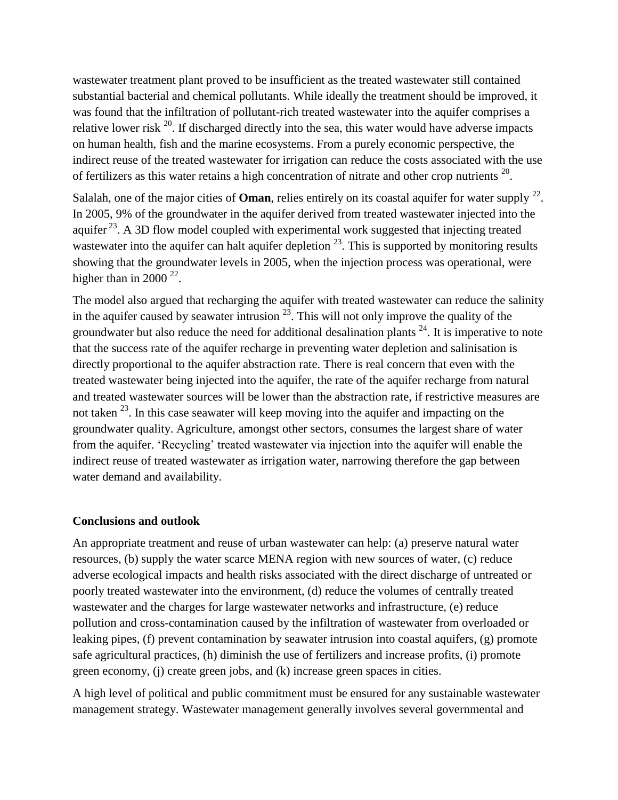wastewater treatment plant proved to be insufficient as the treated wastewater still contained substantial bacterial and chemical pollutants. While ideally the treatment should be improved, it was found that the infiltration of pollutant-rich treated wastewater into the aquifer comprises a relative lower risk  $^{20}$ . If discharged directly into the sea, this water would have adverse impacts on human health, fish and the marine ecosystems. From a purely economic perspective, the indirect reuse of the treated wastewater for irrigation can reduce the costs associated with the use of fertilizers as this water retains a high concentration of nitrate and other crop nutrients  $20$ .

Salalah, one of the major cities of **Oman**, relies entirely on its coastal aquifer for water supply  $22$ . In 2005, 9% of the groundwater in the aquifer derived from treated wastewater injected into the aquifer  $^{23}$ . A 3D flow model coupled with experimental work suggested that injecting treated wastewater into the aquifer can halt aquifer depletion  $^{23}$ . This is supported by monitoring results showing that the groundwater levels in 2005, when the injection process was operational, were higher than in 2000  $22$ .

The model also argued that recharging the aquifer with treated wastewater can reduce the salinity in the aquifer caused by seawater intrusion  $^{23}$ . This will not only improve the quality of the groundwater but also reduce the need for additional desalination plants  $24$ . It is imperative to note that the success rate of the aquifer recharge in preventing water depletion and salinisation is directly proportional to the aquifer abstraction rate. There is real concern that even with the treated wastewater being injected into the aquifer, the rate of the aquifer recharge from natural and treated wastewater sources will be lower than the abstraction rate, if restrictive measures are not taken  $^{23}$ . In this case seawater will keep moving into the aquifer and impacting on the groundwater quality. Agriculture, amongst other sectors, consumes the largest share of water from the aquifer. 'Recycling' treated wastewater via injection into the aquifer will enable the indirect reuse of treated wastewater as irrigation water, narrowing therefore the gap between water demand and availability.

#### **Conclusions and outlook**

An appropriate treatment and reuse of urban wastewater can help: (a) preserve natural water resources, (b) supply the water scarce MENA region with new sources of water, (c) reduce adverse ecological impacts and health risks associated with the direct discharge of untreated or poorly treated wastewater into the environment, (d) reduce the volumes of centrally treated wastewater and the charges for large wastewater networks and infrastructure, (e) reduce pollution and cross-contamination caused by the infiltration of wastewater from overloaded or leaking pipes, (f) prevent contamination by seawater intrusion into coastal aquifers, (g) promote safe agricultural practices, (h) diminish the use of fertilizers and increase profits, (i) promote green economy, (j) create green jobs, and (k) increase green spaces in cities.

A high level of political and public commitment must be ensured for any sustainable wastewater management strategy. Wastewater management generally involves several governmental and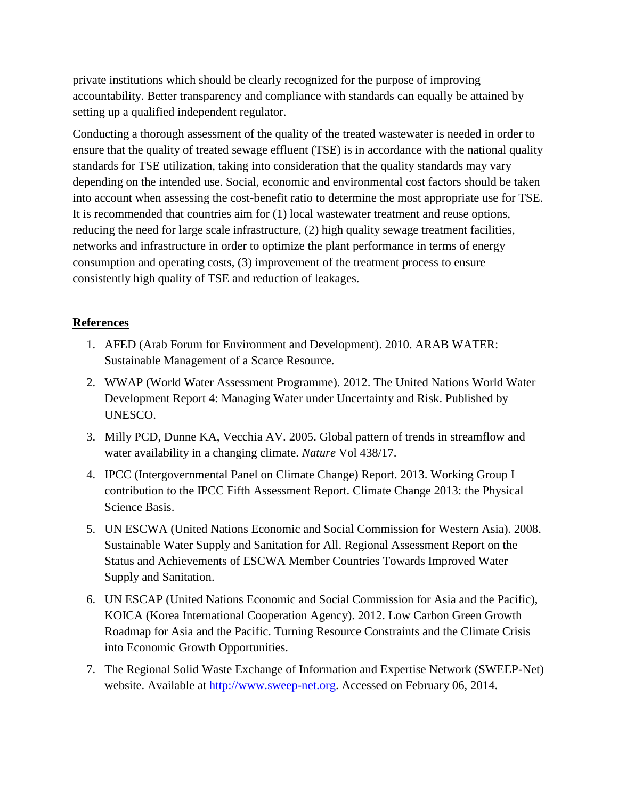private institutions which should be clearly recognized for the purpose of improving accountability. Better transparency and compliance with standards can equally be attained by setting up a qualified independent regulator.

Conducting a thorough assessment of the quality of the treated wastewater is needed in order to ensure that the quality of treated sewage effluent (TSE) is in accordance with the national quality standards for TSE utilization, taking into consideration that the quality standards may vary depending on the intended use. Social, economic and environmental cost factors should be taken into account when assessing the cost-benefit ratio to determine the most appropriate use for TSE. It is recommended that countries aim for (1) local wastewater treatment and reuse options, reducing the need for large scale infrastructure, (2) high quality sewage treatment facilities, networks and infrastructure in order to optimize the plant performance in terms of energy consumption and operating costs, (3) improvement of the treatment process to ensure consistently high quality of TSE and reduction of leakages.

## **References**

- 1. AFED (Arab Forum for Environment and Development). 2010. ARAB WATER: Sustainable Management of a Scarce Resource.
- 2. WWAP (World Water Assessment Programme). 2012. The United Nations World Water Development Report 4: Managing Water under Uncertainty and Risk. Published by UNESCO.
- 3. Milly PCD, Dunne KA, Vecchia AV. 2005. Global pattern of trends in streamflow and water availability in a changing climate. *Nature* Vol 438/17.
- 4. IPCC (Intergovernmental Panel on Climate Change) Report. 2013. Working Group I contribution to the IPCC Fifth Assessment Report. Climate Change 2013: the Physical Science Basis.
- 5. UN ESCWA (United Nations Economic and Social Commission for Western Asia). 2008. Sustainable Water Supply and Sanitation for All. Regional Assessment Report on the Status and Achievements of ESCWA Member Countries Towards Improved Water Supply and Sanitation.
- 6. UN ESCAP (United Nations Economic and Social Commission for Asia and the Pacific), KOICA (Korea International Cooperation Agency). 2012. Low Carbon Green Growth Roadmap for Asia and the Pacific. Turning Resource Constraints and the Climate Crisis into Economic Growth Opportunities.
- 7. The Regional Solid Waste Exchange of Information and Expertise Network (SWEEP-Net) website. Available at [http://www.sweep-net.org.](http://www.sweep-net.org/) Accessed on February 06, 2014.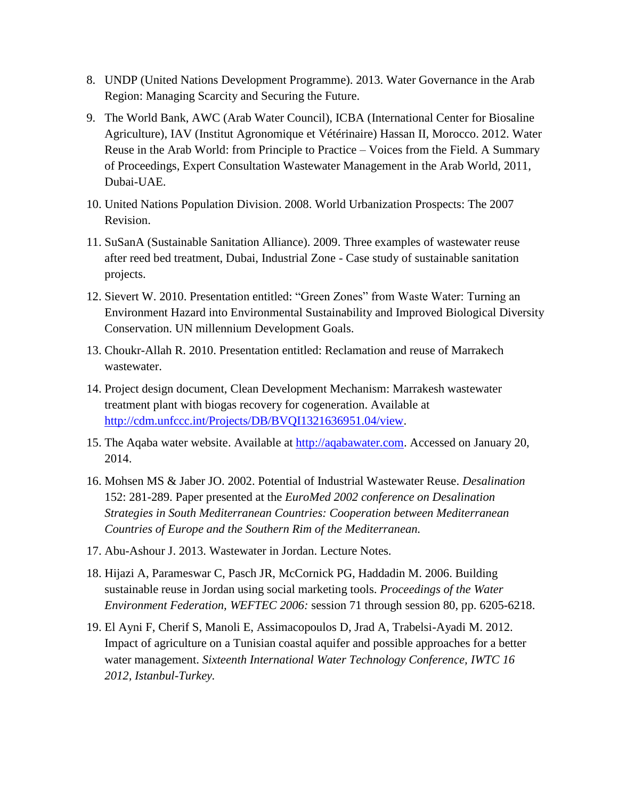- 8. UNDP (United Nations Development Programme). 2013. Water Governance in the Arab Region: Managing Scarcity and Securing the Future.
- 9. The World Bank, AWC (Arab Water Council), ICBA (International Center for Biosaline Agriculture), IAV (Institut Agronomique et Vétérinaire) Hassan II, Morocco. 2012. Water Reuse in the Arab World: from Principle to Practice – Voices from the Field. A Summary of Proceedings, Expert Consultation Wastewater Management in the Arab World, 2011, Dubai-UAE.
- 10. United Nations Population Division. 2008. World Urbanization Prospects: The 2007 Revision.
- 11. SuSanA (Sustainable Sanitation Alliance). 2009. Three examples of wastewater reuse after reed bed treatment, Dubai, Industrial Zone - Case study of sustainable sanitation projects.
- 12. Sievert W. 2010. Presentation entitled: "Green Zones" from Waste Water: Turning an Environment Hazard into Environmental Sustainability and Improved Biological Diversity Conservation. UN millennium Development Goals.
- 13. Choukr-Allah R. 2010. Presentation entitled: Reclamation and reuse of Marrakech wastewater.
- 14. Project design document, Clean Development Mechanism: Marrakesh wastewater treatment plant with biogas recovery for cogeneration. Available at [http://cdm.unfccc.int/Projects/DB/BVQI1321636951.04/view.](http://cdm.unfccc.int/Projects/DB/BVQI1321636951.04/view)
- 15. The Aqaba water website. Available at [http://aqabawater.com.](http://aqabawater.com/) Accessed on January 20, 2014.
- 16. Mohsen MS & Jaber JO. 2002. Potential of Industrial Wastewater Reuse. *Desalination* 152: 281-289. Paper presented at the *EuroMed 2002 conference on Desalination Strategies in South Mediterranean Countries: Cooperation between Mediterranean Countries of Europe and the Southern Rim of the Mediterranean.*
- 17. Abu-Ashour J. 2013. Wastewater in Jordan. Lecture Notes.
- 18. Hijazi A, Parameswar C, Pasch JR, McCornick PG, Haddadin M. 2006. Building sustainable reuse in Jordan using social marketing tools. *Proceedings of the Water Environment Federation, WEFTEC 2006:* session 71 through session 80, pp. 6205-6218.
- 19. El Ayni F, Cherif S, Manoli E, Assimacopoulos D, Jrad A, Trabelsi-Ayadi M. 2012. Impact of agriculture on a Tunisian coastal aquifer and possible approaches for a better water management. *Sixteenth International Water Technology Conference, IWTC 16 2012, Istanbul-Turkey.*